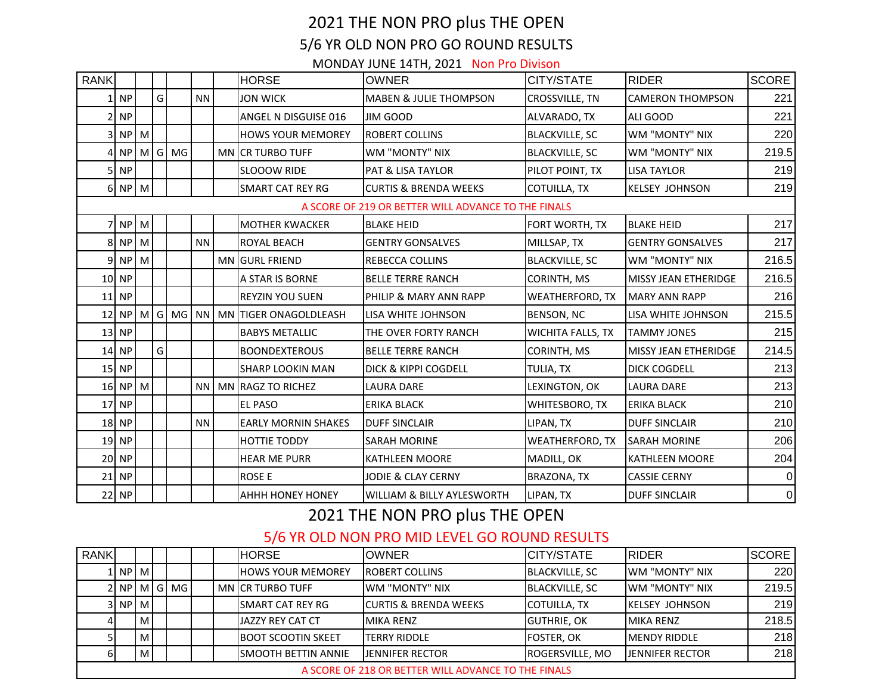## 2021 THE NON PRO plus THE OPEN 5/6 YR OLD NON PRO GO ROUND RESULTS MONDAY JUNE 14TH, 2021 Non Pro Divison

| RANK                                                |                      |  |   |             |           |  | <b>HORSE</b>                          | <b>OWNER</b>                      | CITY/STATE               | <b>RIDER</b>            | <b>SCORE</b>    |
|-----------------------------------------------------|----------------------|--|---|-------------|-----------|--|---------------------------------------|-----------------------------------|--------------------------|-------------------------|-----------------|
|                                                     | $1$ NP               |  | G |             | <b>NN</b> |  | <b>JON WICK</b>                       | <b>MABEN &amp; JULIE THOMPSON</b> | CROSSVILLE, TN           | <b>CAMERON THOMPSON</b> | 221             |
|                                                     | 2 NP                 |  |   |             |           |  | ANGEL N DISGUISE 016                  | JIM GOOD                          | ALVARADO, TX             | ALI GOOD                | 221             |
|                                                     | 3 NP M               |  |   |             |           |  | <b>HOWS YOUR MEMOREY</b>              | ROBERT COLLINS                    | <b>BLACKVILLE, SC</b>    | WM "MONTY" NIX          | 220             |
|                                                     |                      |  |   | 4 NP M G MG |           |  | MN CR TURBO TUFF                      | WM "MONTY" NIX                    | <b>BLACKVILLE, SC</b>    | WM "MONTY" NIX          | 219.5           |
|                                                     | $5$ NP               |  |   |             |           |  | <b>SLOOOW RIDE</b>                    | <b>PAT &amp; LISA TAYLOR</b>      | PILOT POINT, TX          | <b>LISA TAYLOR</b>      | 219             |
|                                                     | $6$ NP M             |  |   |             |           |  | <b>SMART CAT REY RG</b>               | <b>CURTIS &amp; BRENDA WEEKS</b>  | COTUILLA, TX             | <b>KELSEY JOHNSON</b>   | 219             |
| A SCORE OF 219 OR BETTER WILL ADVANCE TO THE FINALS |                      |  |   |             |           |  |                                       |                                   |                          |                         |                 |
|                                                     | $7$ NP $M$           |  |   |             |           |  | <b>MOTHER KWACKER</b>                 | <b>BLAKE HEID</b>                 | FORT WORTH, TX           | <b>BLAKE HEID</b>       | 217             |
|                                                     | 8 NP M               |  |   |             | <b>NN</b> |  | ROYAL BEACH                           | <b>GENTRY GONSALVES</b>           | MILLSAP, TX              | <b>GENTRY GONSALVES</b> | 217             |
|                                                     | $9$ NP $\mid M \mid$ |  |   |             |           |  | <b>MN GURL FRIEND</b>                 | <b>REBECCA COLLINS</b>            | <b>BLACKVILLE, SC</b>    | WM "MONTY" NIX          | 216.5           |
|                                                     | 10 NP                |  |   |             |           |  | A STAR IS BORNE                       | <b>BELLE TERRE RANCH</b>          | CORINTH, MS              | MISSY JEAN ETHERIDGE    | 216.5           |
|                                                     | $11$ NP              |  |   |             |           |  | <b>REYZIN YOU SUEN</b>                | PHILIP & MARY ANN RAPP            | <b>WEATHERFORD, TX</b>   | <b>MARY ANN RAPP</b>    | 216             |
|                                                     |                      |  |   |             |           |  | 12 NP M G MG NN MN TIGER ONAGOLDLEASH | LISA WHITE JOHNSON                | BENSON, NC               | LISA WHITE JOHNSON      | 215.5           |
|                                                     | $13$ NP              |  |   |             |           |  | <b>BABYS METALLIC</b>                 | THE OVER FORTY RANCH              | <b>WICHITA FALLS, TX</b> | <b>TAMMY JONES</b>      | 215             |
|                                                     | $14$ NP              |  | G |             |           |  | <b>BOONDEXTEROUS</b>                  | <b>BELLE TERRE RANCH</b>          | CORINTH, MS              | MISSY JEAN ETHERIDGE    | 214.5           |
|                                                     | $15$ NP              |  |   |             |           |  | <b>SHARP LOOKIN MAN</b>               | DICK & KIPPI COGDELL              | TULIA, TX                | <b>DICK COGDELL</b>     | 213             |
|                                                     | $16$ NP M            |  |   |             | NN        |  | MN RAGZ TO RICHEZ                     | LAURA DARE                        | LEXINGTON, OK            | <b>LAURA DARE</b>       | 213             |
|                                                     | $17$ NP              |  |   |             |           |  | <b>EL PASO</b>                        | <b>ERIKA BLACK</b>                | WHITESBORO, TX           | <b>ERIKA BLACK</b>      | 210             |
|                                                     | $18$ NP              |  |   |             | <b>NN</b> |  | <b>EARLY MORNIN SHAKES</b>            | <b>DUFF SINCLAIR</b>              | LIPAN, TX                | <b>DUFF SINCLAIR</b>    | 210             |
|                                                     | $19$ NP              |  |   |             |           |  | <b>HOTTIE TODDY</b>                   | <b>SARAH MORINE</b>               | WEATHERFORD, TX          | <b>SARAH MORINE</b>     | 206             |
|                                                     | $20$ NP              |  |   |             |           |  | <b>HEAR ME PURR</b>                   | <b>KATHLEEN MOORE</b>             | MADILL, OK               | <b>KATHLEEN MOORE</b>   | 204             |
|                                                     | $21$ NP              |  |   |             |           |  | <b>ROSE E</b>                         | JODIE & CLAY CERNY                | <b>BRAZONA, TX</b>       | <b>CASSIE CERNY</b>     | $\overline{0}$  |
|                                                     | 22 NP                |  |   |             |           |  | AHHH HONEY HONEY                      | WILLIAM & BILLY AYLESWORTH        | LIPAN, TX                | <b>DUFF SINCLAIR</b>    | $\vert 0 \vert$ |

2021 THE NON PRO plus THE OPEN

5/6 YR OLD NON PRO MID LEVEL GO ROUND RESULTS

| <b>RANK</b> |                                                     |   |  |            |  |  | <b>HORSE</b>                | <b>IOWNER</b>                     | <b>CITY/STATE</b>     | <b>IRIDER</b>          | <b>SCORE</b> |
|-------------|-----------------------------------------------------|---|--|------------|--|--|-----------------------------|-----------------------------------|-----------------------|------------------------|--------------|
|             | 1 I NP I M I                                        |   |  |            |  |  | <b>HOWS YOUR MEMOREY</b>    | <b>IROBERT COLLINS</b>            | BLACKVILLE, SC        | <b>WM "MONTY" NIX</b>  | 220          |
|             |                                                     |   |  | 2 NP MG MG |  |  | <b>MN CR TURBO TUFF</b>     | <b>IWM "MONTY" NIX</b>            | <b>BLACKVILLE, SC</b> | <b>IWM "MONTY" NIX</b> | 219.5        |
|             | 3 NP M                                              |   |  |            |  |  | <b>ISMART CAT REY RG</b>    | <b>ICURTIS &amp; BRENDA WEEKS</b> | COTUILLA, TX          | <b>IKELSEY JOHNSON</b> | 219          |
|             |                                                     | M |  |            |  |  | <b>JAZZY REY CAT CT</b>     | <b>MIKA RENZ</b>                  | <b>GUTHRIE, OK</b>    | <b>MIKA RENZ</b>       | 218.5        |
|             |                                                     | M |  |            |  |  | <b>BOOT SCOOTIN SKEET</b>   | <b>ITERRY RIDDLE</b>              | <b>FOSTER, OK</b>     | <b>IMENDY RIDDLE</b>   | 218          |
|             |                                                     | M |  |            |  |  | <b>ISMOOTH BETTIN ANNIE</b> | <b>LIENNIFER RECTOR</b>           | ROGERSVILLE, MO       | <b>JENNIFER RECTOR</b> | 218          |
|             | A SCORE OF 218 OR BETTER WILL ADVANCE TO THE FINALS |   |  |            |  |  |                             |                                   |                       |                        |              |